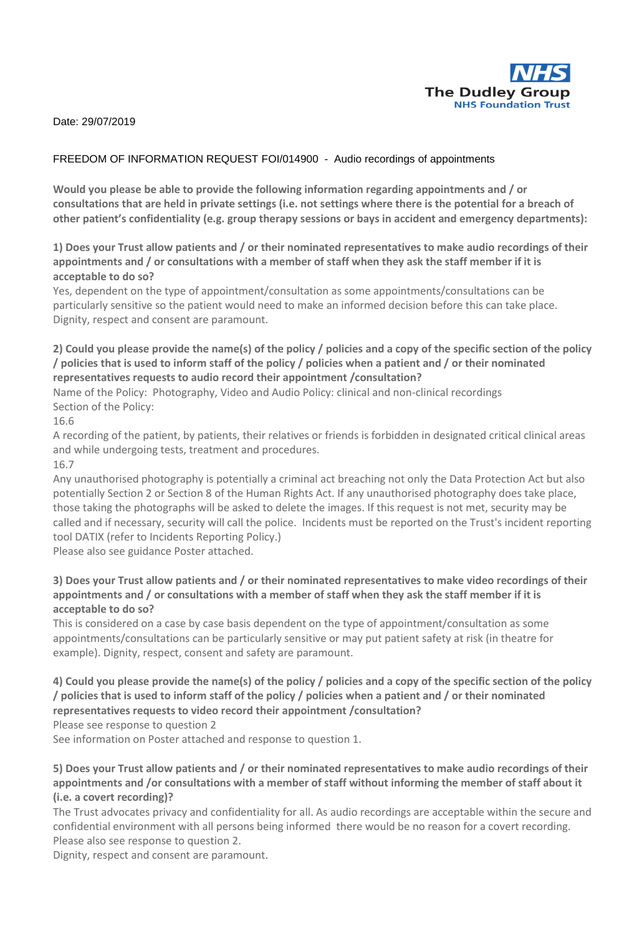

Date: 29/07/2019

## FREEDOM OF INFORMATION REQUEST FOI/014900 - Audio recordings of appointments

**Would you please be able to provide the following information regarding appointments and / or consultations that are held in private settings (i.e. not settings where there is the potential for a breach of other patient's confidentiality (e.g. group therapy sessions or bays in accident and emergency departments):**

**1) Does your Trust allow patients and / or their nominated representatives to make audio recordings of their appointments and / or consultations with a member of staff when they ask the staff member if it is acceptable to do so?**

Yes, dependent on the type of appointment/consultation as some appointments/consultations can be particularly sensitive so the patient would need to make an informed decision before this can take place. Dignity, respect and consent are paramount.

## **2) Could you please provide the name(s) of the policy / policies and a copy of the specific section of the policy / policies that is used to inform staff of the policy / policies when a patient and / or their nominated representatives requests to audio record their appointment /consultation?**

Name of the Policy: Photography, Video and Audio Policy: clinical and non-clinical recordings Section of the Policy:

16.6

A recording of the patient, by patients, their relatives or friends is forbidden in designated critical clinical areas and while undergoing tests, treatment and procedures.

16.7

Any unauthorised photography is potentially a criminal act breaching not only the Data Protection Act but also potentially Section 2 or Section 8 of the Human Rights Act. If any unauthorised photography does take place, those taking the photographs will be asked to delete the images. If this request is not met, security may be called and if necessary, security will call the police. Incidents must be reported on the Trust's incident reporting tool DATIX (refer to Incidents Reporting Policy.)

Please also see guidance Poster attached.

## **3) Does your Trust allow patients and / or their nominated representatives to make video recordings of their appointments and / or consultations with a member of staff when they ask the staff member if it is acceptable to do so?**

This is considered on a case by case basis dependent on the type of appointment/consultation as some appointments/consultations can be particularly sensitive or may put patient safety at risk (in theatre for example). Dignity, respect, consent and safety are paramount.

**4) Could you please provide the name(s) of the policy / policies and a copy of the specific section of the policy / policies that is used to inform staff of the policy / policies when a patient and / or their nominated representatives requests to video record their appointment /consultation?**

Please see response to question 2

See information on Poster attached and response to question 1.

**5) Does your Trust allow patients and / or their nominated representatives to make audio recordings of their appointments and /or consultations with a member of staff without informing the member of staff about it (i.e. a covert recording)?**

The Trust advocates privacy and confidentiality for all. As audio recordings are acceptable within the secure and confidential environment with all persons being informed there would be no reason for a covert recording. Please also see response to question 2.

Dignity, respect and consent are paramount.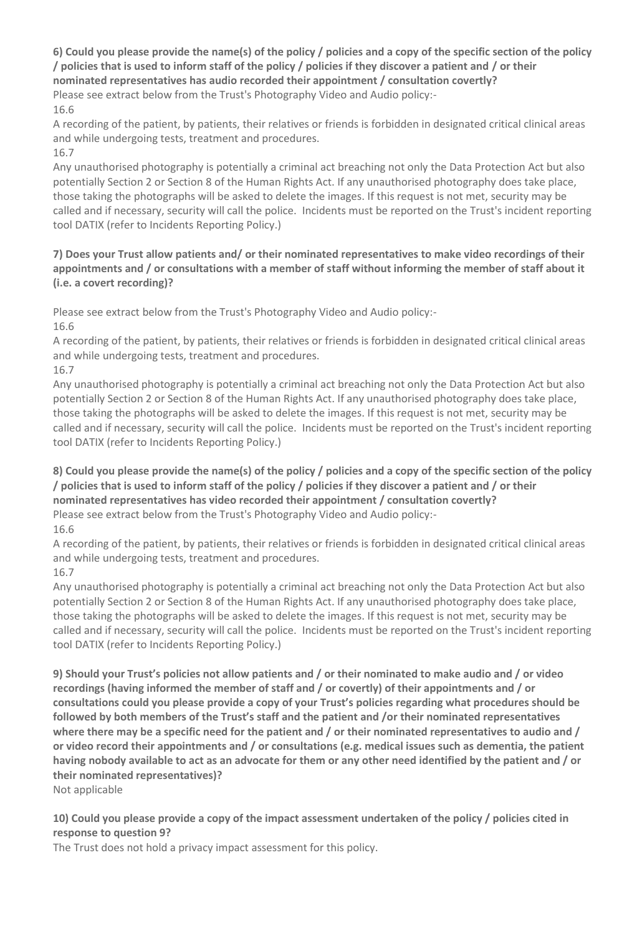**6) Could you please provide the name(s) of the policy / policies and a copy of the specific section of the policy / policies that is used to inform staff of the policy / policies if they discover a patient and / or their nominated representatives has audio recorded their appointment / consultation covertly?**

Please see extract below from the Trust's Photography Video and Audio policy:- 16.6

A recording of the patient, by patients, their relatives or friends is forbidden in designated critical clinical areas and while undergoing tests, treatment and procedures.

16.7

Any unauthorised photography is potentially a criminal act breaching not only the Data Protection Act but also potentially Section 2 or Section 8 of the Human Rights Act. If any unauthorised photography does take place, those taking the photographs will be asked to delete the images. If this request is not met, security may be called and if necessary, security will call the police. Incidents must be reported on the Trust's incident reporting tool DATIX (refer to Incidents Reporting Policy.)

**7) Does your Trust allow patients and/ or their nominated representatives to make video recordings of their appointments and / or consultations with a member of staff without informing the member of staff about it (i.e. a covert recording)?**

Please see extract below from the Trust's Photography Video and Audio policy:- 16.6

A recording of the patient, by patients, their relatives or friends is forbidden in designated critical clinical areas and while undergoing tests, treatment and procedures.

16.7

Any unauthorised photography is potentially a criminal act breaching not only the Data Protection Act but also potentially Section 2 or Section 8 of the Human Rights Act. If any unauthorised photography does take place, those taking the photographs will be asked to delete the images. If this request is not met, security may be called and if necessary, security will call the police. Incidents must be reported on the Trust's incident reporting tool DATIX (refer to Incidents Reporting Policy.)

**8) Could you please provide the name(s) of the policy / policies and a copy of the specific section of the policy / policies that is used to inform staff of the policy / policies if they discover a patient and / or their nominated representatives has video recorded their appointment / consultation covertly?** Please see extract below from the Trust's Photography Video and Audio policy:-

16.6

A recording of the patient, by patients, their relatives or friends is forbidden in designated critical clinical areas and while undergoing tests, treatment and procedures.

16.7

Any unauthorised photography is potentially a criminal act breaching not only the Data Protection Act but also potentially Section 2 or Section 8 of the Human Rights Act. If any unauthorised photography does take place, those taking the photographs will be asked to delete the images. If this request is not met, security may be called and if necessary, security will call the police. Incidents must be reported on the Trust's incident reporting tool DATIX (refer to Incidents Reporting Policy.)

**9) Should your Trust's policies not allow patients and / or their nominated to make audio and / or video recordings (having informed the member of staff and / or covertly) of their appointments and / or consultations could you please provide a copy of your Trust's policies regarding what procedures should be followed by both members of the Trust's staff and the patient and /or their nominated representatives where there may be a specific need for the patient and / or their nominated representatives to audio and / or video record their appointments and / or consultations (e.g. medical issues such as dementia, the patient having nobody available to act as an advocate for them or any other need identified by the patient and / or their nominated representatives)?**

Not applicable

**10) Could you please provide a copy of the impact assessment undertaken of the policy / policies cited in response to question 9?**

The Trust does not hold a privacy impact assessment for this policy.